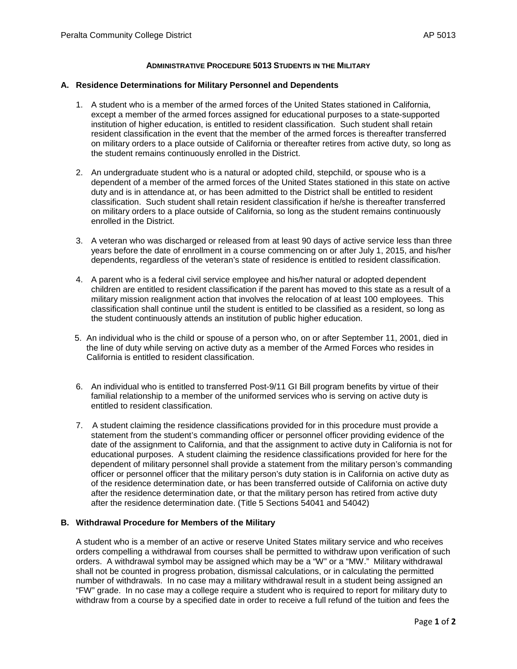## **ADMINISTRATIVE PROCEDURE 5013 STUDENTS IN THE MILITARY**

## **A. Residence Determinations for Military Personnel and Dependents**

- 1. A student who is a member of the armed forces of the United States stationed in California, except a member of the armed forces assigned for educational purposes to a state-supported institution of higher education, is entitled to resident classification. Such student shall retain resident classification in the event that the member of the armed forces is thereafter transferred on military orders to a place outside of California or thereafter retires from active duty, so long as the student remains continuously enrolled in the District.
- 2. An undergraduate student who is a natural or adopted child, stepchild, or spouse who is a dependent of a member of the armed forces of the United States stationed in this state on active duty and is in attendance at, or has been admitted to the District shall be entitled to resident classification. Such student shall retain resident classification if he/she is thereafter transferred on military orders to a place outside of California, so long as the student remains continuously enrolled in the District.
- 3. A veteran who was discharged or released from at least 90 days of active service less than three years before the date of enrollment in a course commencing on or after July 1, 2015, and his/her dependents, regardless of the veteran's state of residence is entitled to resident classification.
- 4. A parent who is a federal civil service employee and his/her natural or adopted dependent children are entitled to resident classification if the parent has moved to this state as a result of a military mission realignment action that involves the relocation of at least 100 employees. This classification shall continue until the student is entitled to be classified as a resident, so long as the student continuously attends an institution of public higher education.
- 5. An individual who is the child or spouse of a person who, on or after September 11, 2001, died in the line of duty while serving on active duty as a member of the Armed Forces who resides in California is entitled to resident classification.
- 6. An individual who is entitled to transferred Post-9/11 GI Bill program benefits by virtue of their familial relationship to a member of the uniformed services who is serving on active duty is entitled to resident classification.
- 7. A student claiming the residence classifications provided for in this procedure must provide a statement from the student's commanding officer or personnel officer providing evidence of the date of the assignment to California, and that the assignment to active duty in California is not for educational purposes. A student claiming the residence classifications provided for here for the dependent of military personnel shall provide a statement from the military person's commanding officer or personnel officer that the military person's duty station is in California on active duty as of the residence determination date, or has been transferred outside of California on active duty after the residence determination date, or that the military person has retired from active duty after the residence determination date. (Title 5 Sections 54041 and 54042)

## **B. Withdrawal Procedure for Members of the Military**

A student who is a member of an active or reserve United States military service and who receives orders compelling a withdrawal from courses shall be permitted to withdraw upon verification of such orders. A withdrawal symbol may be assigned which may be a "W" or a "MW." Military withdrawal shall not be counted in progress probation, dismissal calculations, or in calculating the permitted number of withdrawals. In no case may a military withdrawal result in a student being assigned an "FW" grade. In no case may a college require a student who is required to report for military duty to withdraw from a course by a specified date in order to receive a full refund of the tuition and fees the